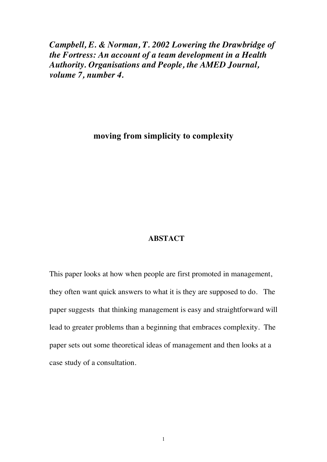*Campbell, E. & Norman, T. 2002 Lowering the Drawbridge of the Fortress: An account of a team development in a Health Authority. Organisations and People, the AMED Journal, volume 7, number 4.*

# **moving from simplicity to complexity**

## **ABSTACT**

This paper looks at how when people are first promoted in management, they often want quick answers to what it is they are supposed to do. The paper suggests that thinking management is easy and straightforward will lead to greater problems than a beginning that embraces complexity. The paper sets out some theoretical ideas of management and then looks at a case study of a consultation.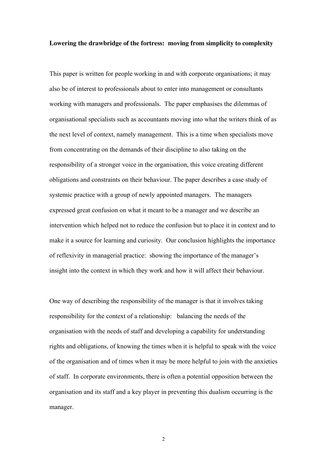#### **Lowering the drawbridge of the fortress: moving from simplicity to complexity**

This paper is written for people working in and with corporate organisations; it may also be of interest to professionals about to enter into management or consultants working with managers and professionals. The paper emphasises the dilemmas of organisational specialists such as accountants moving into what the writers think of as the next level of context, namely management. This is a time when specialists move from concentrating on the demands of their discipline to also taking on the responsibility of a stronger voice in the organisation, this voice creating different obligations and constraints on their behaviour. The paper describes a case study of systemic practice with a group of newly appointed managers. The managers expressed great confusion on what it meant to be a manager and we describe an intervention which helped not to reduce the confusion but to place it in context and to make it a source for learning and curiosity. Our conclusion highlights the importance of reflexivity in managerial practice: showing the importance of the manager's insight into the context in which they work and how it will affect their behaviour.

One way of describing the responsibility of the manager is that it involves taking responsibility for the context of a relationship: balancing the needs of the organisation with the needs of staff and developing a capability for understanding rights and obligations, of knowing the times when it is helpful to speak with the voice of the organisation and of times when it may be more helpful to join with the anxieties of staff. In corporate environments, there is often a potential opposition between the organisation and its staff and a key player in preventing this dualism occurring is the manager.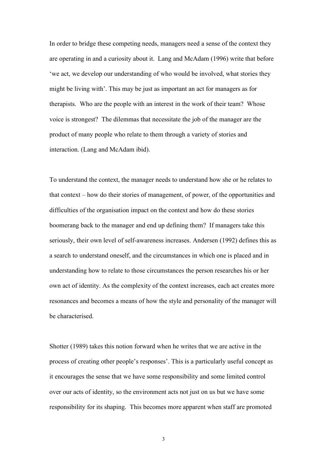In order to bridge these competing needs, managers need a sense of the context they are operating in and a curiosity about it. Lang and McAdam (1996) write that before 'we act, we develop our understanding of who would be involved, what stories they might be living with'. This may be just as important an act for managers as for therapists. Who are the people with an interest in the work of their team? Whose voice is strongest? The dilemmas that necessitate the job of the manager are the product of many people who relate to them through a variety of stories and interaction. (Lang and McAdam ibid).

To understand the context, the manager needs to understand how she or he relates to that context – how do their stories of management, of power, of the opportunities and difficulties of the organisation impact on the context and how do these stories boomerang back to the manager and end up defining them? If managers take this seriously, their own level of self-awareness increases. Andersen (1992) defines this as a search to understand oneself, and the circumstances in which one is placed and in understanding how to relate to those circumstances the person researches his or her own act of identity. As the complexity of the context increases, each act creates more resonances and becomes a means of how the style and personality of the manager will be characterised.

Shotter (1989) takes this notion forward when he writes that we are active in the process of creating other people's responses'. This is a particularly useful concept as it encourages the sense that we have some responsibility and some limited control over our acts of identity, so the environment acts not just on us but we have some responsibility for its shaping. This becomes more apparent when staff are promoted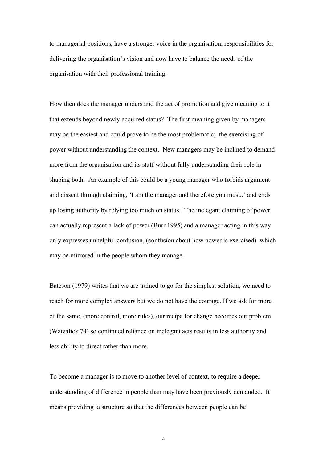to managerial positions, have a stronger voice in the organisation, responsibilities for delivering the organisation's vision and now have to balance the needs of the organisation with their professional training.

How then does the manager understand the act of promotion and give meaning to it that extends beyond newly acquired status? The first meaning given by managers may be the easiest and could prove to be the most problematic; the exercising of power without understanding the context. New managers may be inclined to demand more from the organisation and its staff without fully understanding their role in shaping both. An example of this could be a young manager who forbids argument and dissent through claiming, 'I am the manager and therefore you must..' and ends up losing authority by relying too much on status. The inelegant claiming of power can actually represent a lack of power (Burr 1995) and a manager acting in this way only expresses unhelpful confusion, (confusion about how power is exercised) which may be mirrored in the people whom they manage.

Bateson (1979) writes that we are trained to go for the simplest solution, we need to reach for more complex answers but we do not have the courage. If we ask for more of the same, (more control, more rules), our recipe for change becomes our problem (Watzalick 74) so continued reliance on inelegant acts results in less authority and less ability to direct rather than more.

To become a manager is to move to another level of context, to require a deeper understanding of difference in people than may have been previously demanded. It means providing a structure so that the differences between people can be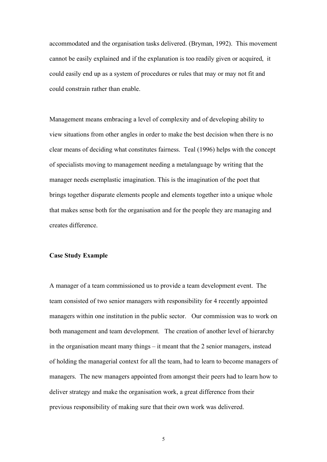accommodated and the organisation tasks delivered. (Bryman, 1992). This movement cannot be easily explained and if the explanation is too readily given or acquired, it could easily end up as a system of procedures or rules that may or may not fit and could constrain rather than enable.

Management means embracing a level of complexity and of developing ability to view situations from other angles in order to make the best decision when there is no clear means of deciding what constitutes fairness. Teal (1996) helps with the concept of specialists moving to management needing a metalanguage by writing that the manager needs esemplastic imagination. This is the imagination of the poet that brings together disparate elements people and elements together into a unique whole that makes sense both for the organisation and for the people they are managing and creates difference.

#### **Case Study Example**

A manager of a team commissioned us to provide a team development event. The team consisted of two senior managers with responsibility for 4 recently appointed managers within one institution in the public sector. Our commission was to work on both management and team development. The creation of another level of hierarchy in the organisation meant many things – it meant that the 2 senior managers, instead of holding the managerial context for all the team, had to learn to become managers of managers. The new managers appointed from amongst their peers had to learn how to deliver strategy and make the organisation work, a great difference from their previous responsibility of making sure that their own work was delivered.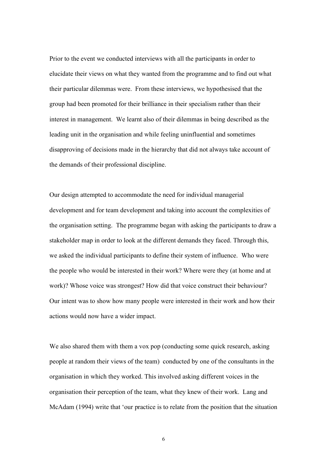Prior to the event we conducted interviews with all the participants in order to elucidate their views on what they wanted from the programme and to find out what their particular dilemmas were. From these interviews, we hypothesised that the group had been promoted for their brilliance in their specialism rather than their interest in management. We learnt also of their dilemmas in being described as the leading unit in the organisation and while feeling uninfluential and sometimes disapproving of decisions made in the hierarchy that did not always take account of the demands of their professional discipline.

Our design attempted to accommodate the need for individual managerial development and for team development and taking into account the complexities of the organisation setting. The programme began with asking the participants to draw a stakeholder map in order to look at the different demands they faced. Through this, we asked the individual participants to define their system of influence. Who were the people who would be interested in their work? Where were they (at home and at work)? Whose voice was strongest? How did that voice construct their behaviour? Our intent was to show how many people were interested in their work and how their actions would now have a wider impact.

We also shared them with them a vox pop (conducting some quick research, asking people at random their views of the team) conducted by one of the consultants in the organisation in which they worked. This involved asking different voices in the organisation their perception of the team, what they knew of their work. Lang and McAdam (1994) write that 'our practice is to relate from the position that the situation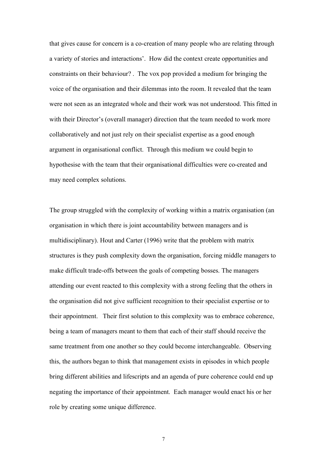that gives cause for concern is a co-creation of many people who are relating through a variety of stories and interactions'. How did the context create opportunities and constraints on their behaviour? . The vox pop provided a medium for bringing the voice of the organisation and their dilemmas into the room. It revealed that the team were not seen as an integrated whole and their work was not understood. This fitted in with their Director's (overall manager) direction that the team needed to work more collaboratively and not just rely on their specialist expertise as a good enough argument in organisational conflict. Through this medium we could begin to hypothesise with the team that their organisational difficulties were co-created and may need complex solutions.

The group struggled with the complexity of working within a matrix organisation (an organisation in which there is joint accountability between managers and is multidisciplinary). Hout and Carter (1996) write that the problem with matrix structures is they push complexity down the organisation, forcing middle managers to make difficult trade-offs between the goals of competing bosses. The managers attending our event reacted to this complexity with a strong feeling that the others in the organisation did not give sufficient recognition to their specialist expertise or to their appointment. Their first solution to this complexity was to embrace coherence, being a team of managers meant to them that each of their staff should receive the same treatment from one another so they could become interchangeable. Observing this, the authors began to think that management exists in episodes in which people bring different abilities and lifescripts and an agenda of pure coherence could end up negating the importance of their appointment. Each manager would enact his or her role by creating some unique difference.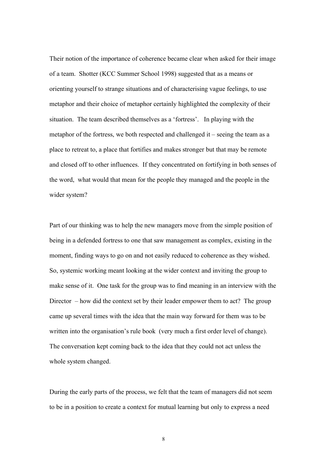Their notion of the importance of coherence became clear when asked for their image of a team. Shotter (KCC Summer School 1998) suggested that as a means or orienting yourself to strange situations and of characterising vague feelings, to use metaphor and their choice of metaphor certainly highlighted the complexity of their situation. The team described themselves as a 'fortress'. In playing with the metaphor of the fortress, we both respected and challenged it – seeing the team as a place to retreat to, a place that fortifies and makes stronger but that may be remote and closed off to other influences. If they concentrated on fortifying in both senses of the word, what would that mean for the people they managed and the people in the wider system?

Part of our thinking was to help the new managers move from the simple position of being in a defended fortress to one that saw management as complex, existing in the moment, finding ways to go on and not easily reduced to coherence as they wished. So, systemic working meant looking at the wider context and inviting the group to make sense of it. One task for the group was to find meaning in an interview with the Director – how did the context set by their leader empower them to act? The group came up several times with the idea that the main way forward for them was to be written into the organisation's rule book (very much a first order level of change). The conversation kept coming back to the idea that they could not act unless the whole system changed.

During the early parts of the process, we felt that the team of managers did not seem to be in a position to create a context for mutual learning but only to express a need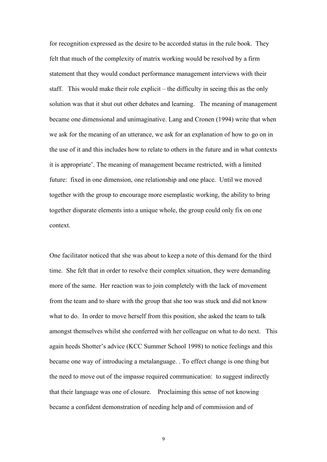for recognition expressed as the desire to be accorded status in the rule book. They felt that much of the complexity of matrix working would be resolved by a firm statement that they would conduct performance management interviews with their staff. This would make their role explicit – the difficulty in seeing this as the only solution was that it shut out other debates and learning. The meaning of management became one dimensional and unimaginative. Lang and Cronen (1994) write that when we ask for the meaning of an utterance, we ask for an explanation of how to go on in the use of it and this includes how to relate to others in the future and in what contexts it is appropriate'. The meaning of management became restricted, with a limited future: fixed in one dimension, one relationship and one place. Until we moved together with the group to encourage more esemplastic working, the ability to bring together disparate elements into a unique whole, the group could only fix on one context.

One facilitator noticed that she was about to keep a note of this demand for the third time. She felt that in order to resolve their complex situation, they were demanding more of the same. Her reaction was to join completely with the lack of movement from the team and to share with the group that she too was stuck and did not know what to do. In order to move herself from this position, she asked the team to talk amongst themselves whilst she conferred with her colleague on what to do next. This again heeds Shotter's advice (KCC Summer School 1998) to notice feelings and this became one way of introducing a metalanguage. . To effect change is one thing but the need to move out of the impasse required communication: to suggest indirectly that their language was one of closure. Proclaiming this sense of not knowing became a confident demonstration of needing help and of commission and of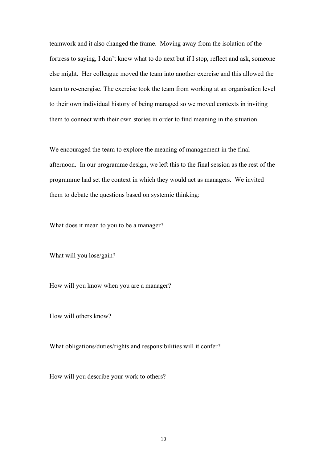teamwork and it also changed the frame. Moving away from the isolation of the fortress to saying, I don't know what to do next but if I stop, reflect and ask, someone else might. Her colleague moved the team into another exercise and this allowed the team to re-energise. The exercise took the team from working at an organisation level to their own individual history of being managed so we moved contexts in inviting them to connect with their own stories in order to find meaning in the situation.

We encouraged the team to explore the meaning of management in the final afternoon. In our programme design, we left this to the final session as the rest of the programme had set the context in which they would act as managers. We invited them to debate the questions based on systemic thinking:

What does it mean to you to be a manager?

What will you lose/gain?

How will you know when you are a manager?

How will others know?

What obligations/duties/rights and responsibilities will it confer?

How will you describe your work to others?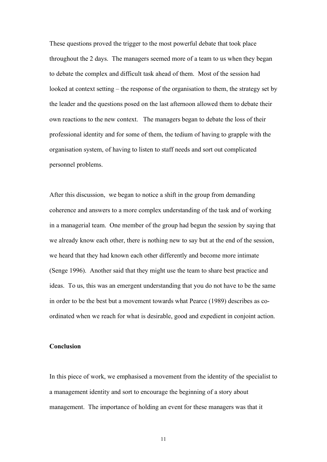These questions proved the trigger to the most powerful debate that took place throughout the 2 days. The managers seemed more of a team to us when they began to debate the complex and difficult task ahead of them. Most of the session had looked at context setting – the response of the organisation to them, the strategy set by the leader and the questions posed on the last afternoon allowed them to debate their own reactions to the new context. The managers began to debate the loss of their professional identity and for some of them, the tedium of having to grapple with the organisation system, of having to listen to staff needs and sort out complicated personnel problems.

After this discussion, we began to notice a shift in the group from demanding coherence and answers to a more complex understanding of the task and of working in a managerial team. One member of the group had begun the session by saying that we already know each other, there is nothing new to say but at the end of the session, we heard that they had known each other differently and become more intimate (Senge 1996). Another said that they might use the team to share best practice and ideas. To us, this was an emergent understanding that you do not have to be the same in order to be the best but a movement towards what Pearce (1989) describes as coordinated when we reach for what is desirable, good and expedient in conjoint action.

### **Conclusion**

In this piece of work, we emphasised a movement from the identity of the specialist to a management identity and sort to encourage the beginning of a story about management. The importance of holding an event for these managers was that it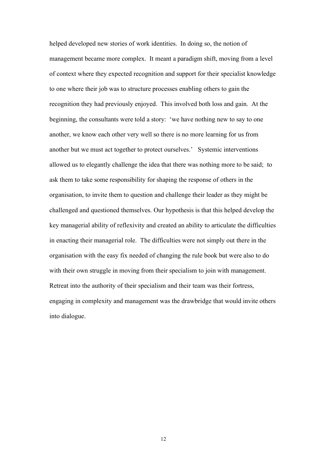helped developed new stories of work identities. In doing so, the notion of management became more complex. It meant a paradigm shift, moving from a level of context where they expected recognition and support for their specialist knowledge to one where their job was to structure processes enabling others to gain the recognition they had previously enjoyed. This involved both loss and gain. At the beginning, the consultants were told a story: 'we have nothing new to say to one another, we know each other very well so there is no more learning for us from another but we must act together to protect ourselves.' Systemic interventions allowed us to elegantly challenge the idea that there was nothing more to be said; to ask them to take some responsibility for shaping the response of others in the organisation, to invite them to question and challenge their leader as they might be challenged and questioned themselves. Our hypothesis is that this helped develop the key managerial ability of reflexivity and created an ability to articulate the difficulties in enacting their managerial role. The difficulties were not simply out there in the organisation with the easy fix needed of changing the rule book but were also to do with their own struggle in moving from their specialism to join with management. Retreat into the authority of their specialism and their team was their fortress, engaging in complexity and management was the drawbridge that would invite others into dialogue.